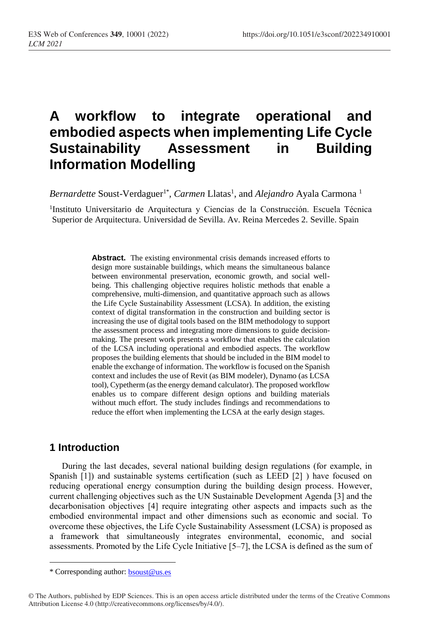# **A workflow to integrate operational and embodied aspects when implementing Life Cycle Sustainability Assessment in Building Information Modelling**

Bernardette Soust-Verdaguer<sup>1\*</sup>, *Carmen* Llatas<sup>1</sup>, and *Alejandro* Ayala Carmona<sup>1</sup>

1 Instituto Universitario de Arquitectura y Ciencias de la Construcción. Escuela Técnica Superior de Arquitectura. Universidad de Sevilla. Av. Reina Mercedes 2. Seville. Spain

> **Abstract.** The existing environmental crisis demands increased efforts to design more sustainable buildings, which means the simultaneous balance between environmental preservation, economic growth, and social wellbeing. This challenging objective requires holistic methods that enable a comprehensive, multi-dimension, and quantitative approach such as allows the Life Cycle Sustainability Assessment (LCSA). In addition, the existing context of digital transformation in the construction and building sector is increasing the use of digital tools based on the BIM methodology to support the assessment process and integrating more dimensions to guide decisionmaking. The present work presents a workflow that enables the calculation of the LCSA including operational and embodied aspects. The workflow proposes the building elements that should be included in the BIM model to enable the exchange of information. The workflow is focused on the Spanish context and includes the use of Revit (as BIM modeler), Dynamo (as LCSA tool), Cypetherm (as the energy demand calculator). The proposed workflow enables us to compare different design options and building materials without much effort. The study includes findings and recommendations to reduce the effort when implementing the LCSA at the early design stages.

### **1 Introduction**

 $\overline{a}$ 

During the last decades, several national building design regulations (for example, in Spanish [1]) and sustainable systems certification (such as LEED [2] ) have focused on reducing operational energy consumption during the building design process. However, current challenging objectives such as the UN Sustainable Development Agenda [3] and the decarbonisation objectives [4] require integrating other aspects and impacts such as the embodied environmental impact and other dimensions such as economic and social. To overcome these objectives, the Life Cycle Sustainability Assessment (LCSA) is proposed as a framework that simultaneously integrates environmental, economic, and social assessments. Promoted by the Life Cycle Initiative [5–7], the LCSA is defined as the sum of

<sup>\*</sup> Corresponding author: [bsoust@us.es](mailto:bsoust@us.es)

<sup>©</sup> The Authors, published by EDP Sciences. This is an open access article distributed under the terms of the Creative Commons Attribution License 4.0 (http://creativecommons.org/licenses/by/4.0/).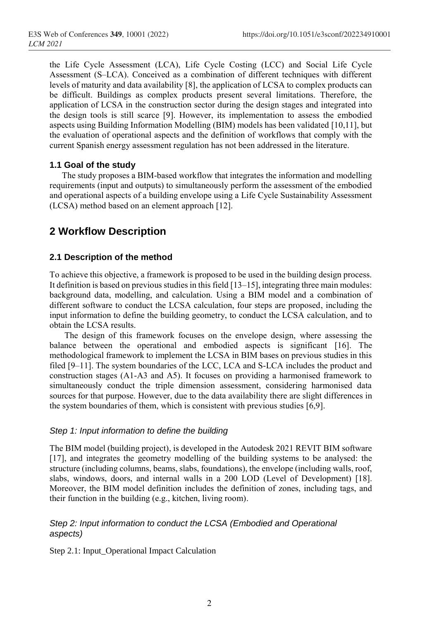the Life Cycle Assessment (LCA), Life Cycle Costing (LCC) and Social Life Cycle Assessment (S–LCA). Conceived as a combination of different techniques with different levels of maturity and data availability [8], the application of LCSA to complex products can be difficult. Buildings as complex products present several limitations. Therefore, the application of LCSA in the construction sector during the design stages and integrated into the design tools is still scarce [9]. However, its implementation to assess the embodied aspects using Building Information Modelling (BIM) models has been validated [10,11], but the evaluation of operational aspects and the definition of workflows that comply with the current Spanish energy assessment regulation has not been addressed in the literature.

#### **1.1 Goal of the study**

The study proposes a BIM-based workflow that integrates the information and modelling requirements (input and outputs) to simultaneously perform the assessment of the embodied and operational aspects of a building envelope using a Life Cycle Sustainability Assessment (LCSA) method based on an element approach [12].

# **2 Workflow Description**

#### **2.1 Description of the method**

To achieve this objective, a framework is proposed to be used in the building design process. It definition is based on previous studies in this field [13–15], integrating three main modules: background data, modelling, and calculation. Using a BIM model and a combination of different software to conduct the LCSA calculation, four steps are proposed, including the input information to define the building geometry, to conduct the LCSA calculation, and to obtain the LCSA results.

The design of this framework focuses on the envelope design, where assessing the balance between the operational and embodied aspects is significant [16]. The methodological framework to implement the LCSA in BIM bases on previous studies in this filed [9–11]. The system boundaries of the LCC, LCA and S-LCA includes the product and construction stages (A1-A3 and A5). It focuses on providing a harmonised framework to simultaneously conduct the triple dimension assessment, considering harmonised data sources for that purpose. However, due to the data availability there are slight differences in the system boundaries of them, which is consistent with previous studies [6,9].

#### *Step 1: Input information to define the building*

The BIM model (building project), is developed in the Autodesk 2021 REVIT BIM software [17], and integrates the geometry modelling of the building systems to be analysed: the structure (including columns, beams, slabs, foundations), the envelope (including walls, roof, slabs, windows, doors, and internal walls in a 200 LOD (Level of Development) [18]. Moreover, the BIM model definition includes the definition of zones, including tags, and their function in the building (e.g., kitchen, living room).

#### *Step 2: Input information to conduct the LCSA (Embodied and Operational aspects)*

Step 2.1: Input\_Operational Impact Calculation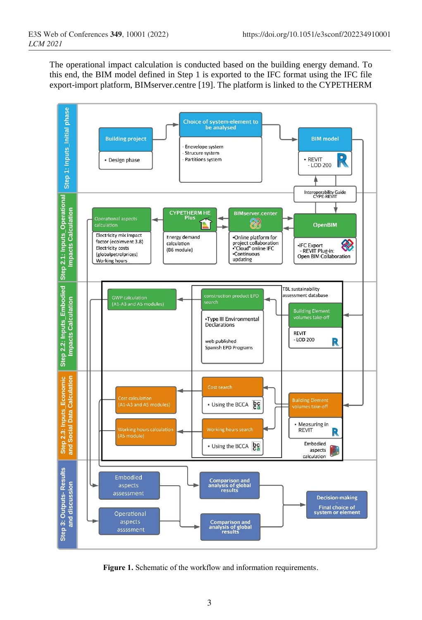The operational impact calculation is conducted based on the building energy demand. To this end, the BIM model defined in Step 1 is exported to the IFC format using the IFC file export-import platform, BIMserver.centre [19]. The platform is linked to the CYPETHERM



**Figure 1.** Schematic of the workflow and information requirements.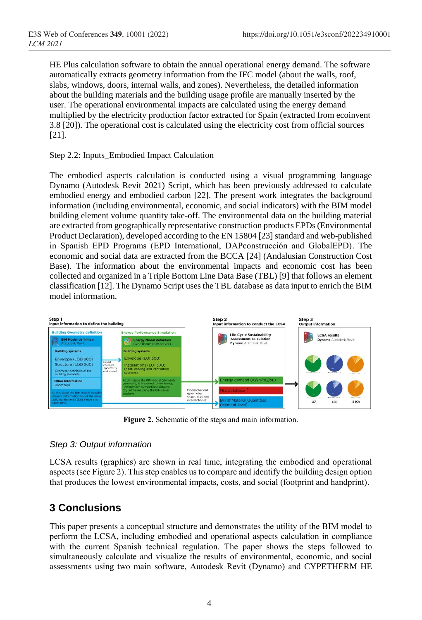HE Plus calculation software to obtain the annual operational energy demand. The software automatically extracts geometry information from the IFC model (about the walls, roof, slabs, windows, doors, internal walls, and zones). Nevertheless, the detailed information about the building materials and the building usage profile are manually inserted by the user. The operational environmental impacts are calculated using the energy demand multiplied by the electricity production factor extracted for Spain (extracted from ecoinvent 3.8 [20]). The operational cost is calculated using the electricity cost from official sources [21].

#### Step 2.2: Inputs\_Embodied Impact Calculation

The embodied aspects calculation is conducted using a visual programming language Dynamo (Autodesk Revit 2021) Script, which has been previously addressed to calculate embodied energy and embodied carbon [22]. The present work integrates the background information (including environmental, economic, and social indicators) with the BIM model building element volume quantity take-off. The environmental data on the building material are extracted from geographically representative construction products EPDs(Environmental Product Declaration), developed according to the EN 15804 [23] standard and web-published in Spanish EPD Programs (EPD International, DAPconstrucción and GlobalEPD). The economic and social data are extracted from the BCCA [24] (Andalusian Construction Cost Base). The information about the environmental impacts and economic cost has been collected and organized in a Triple Bottom Line Data Base (TBL) [9] that follows an element classification [12]. The Dynamo Script uses the TBL database as data input to enrich the BIM model information.



**Figure 2.** Schematic of the steps and main information.

#### *Step 3: Output information*

LCSA results (graphics) are shown in real time, integrating the embodied and operational aspects (see Figure 2). This step enables us to compare and identify the building design option that produces the lowest environmental impacts, costs, and social (footprint and handprint).

# **3 Conclusions**

This paper presents a conceptual structure and demonstrates the utility of the BIM model to perform the LCSA, including embodied and operational aspects calculation in compliance with the current Spanish technical regulation. The paper shows the steps followed to simultaneously calculate and visualize the results of environmental, economic, and social assessments using two main software, Autodesk Revit (Dynamo) and CYPETHERM HE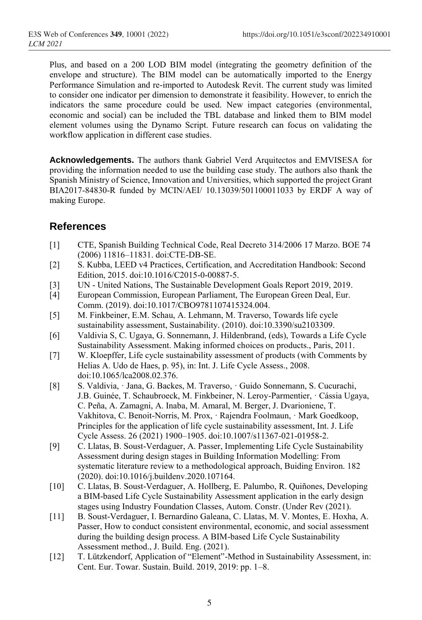Plus, and based on a 200 LOD BIM model (integrating the geometry definition of the envelope and structure). The BIM model can be automatically imported to the Energy Performance Simulation and re-imported to Autodesk Revit. The current study was limited to consider one indicator per dimension to demonstrate it feasibility. However, to enrich the indicators the same procedure could be used. New impact categories (environmental, economic and social) can be included the TBL database and linked them to BIM model element volumes using the Dynamo Script. Future research can focus on validating the workflow application in different case studies.

**Acknowledgements.** The authors thank Gabriel Verd Arquitectos and EMVISESA for providing the information needed to use the building case study. The authors also thank the Spanish Ministry of Science, Innovation and Universities, which supported the project Grant BIA2017-84830-R funded by MCIN/AEI/ 10.13039/501100011033 by ERDF A way of making Europe.

# **References**

- [1] CTE, Spanish Building Technical Code, Real Decreto 314/2006 17 Marzo. BOE 74 (2006) 11816–11831. doi:CTE-DB-SE.
- [2] S. Kubba, LEED v4 Practices, Certification, and Accreditation Handbook: Second Edition, 2015. doi:10.1016/C2015-0-00887-5.
- [3] UN United Nations, The Sustainable Development Goals Report 2019, 2019.
- [4] European Commission, European Parliament, The European Green Deal, Eur. Comm. (2019). doi:10.1017/CBO9781107415324.004.
- [5] M. Finkbeiner, E.M. Schau, A. Lehmann, M. Traverso, Towards life cycle sustainability assessment, Sustainability. (2010). doi:10.3390/su2103309.
- [6] Valdivia S, C. Ugaya, G. Sonnemann, J. Hildenbrand, (eds), Towards a Life Cycle Sustainability Assessment. Making informed choices on products., Paris, 2011.
- [7] W. Kloepffer, Life cycle sustainability assessment of products (with Comments by Helias A. Udo de Haes, p. 95), in: Int. J. Life Cycle Assess., 2008. doi:10.1065/lca2008.02.376.
- [8] S. Valdivia, · Jana, G. Backes, M. Traverso, · Guido Sonnemann, S. Cucurachi, J.B. Guinée, T. Schaubroeck, M. Finkbeiner, N. Leroy-Parmentier, · Cássia Ugaya, C. Peña, A. Zamagni, A. Inaba, M. Amaral, M. Berger, J. Dvarioniene, T. Vakhitova, C. Benoit-Norris, M. Prox, · Rajendra Foolmaun, · Mark Goedkoop, Principles for the application of life cycle sustainability assessment, Int. J. Life Cycle Assess. 26 (2021) 1900–1905. doi:10.1007/s11367-021-01958-2.
- [9] C. Llatas, B. Soust-Verdaguer, A. Passer, Implementing Life Cycle Sustainability Assessment during design stages in Building Information Modelling: From systematic literature review to a methodological approach, Buiding Environ. 182 (2020). doi:10.1016/j.buildenv.2020.107164.
- [10] C. Llatas, B. Soust-Verdaguer, A. Hollberg, E. Palumbo, R. Quiñones, Developing a BIM-based Life Cycle Sustainability Assessment application in the early design stages using Industry Foundation Classes, Autom. Constr. (Under Rev (2021).
- [11] B. Soust-Verdaguer, I. Bernardino Galeana, C. Llatas, M. V. Montes, E. Hoxha, A. Passer, How to conduct consistent environmental, economic, and social assessment during the building design process. A BIM-based Life Cycle Sustainability Assessment method., J. Build. Eng. (2021).
- [12] T. Lützkendorf, Application of "Element"-Method in Sustainability Assessment, in: Cent. Eur. Towar. Sustain. Build. 2019, 2019: pp. 1–8.